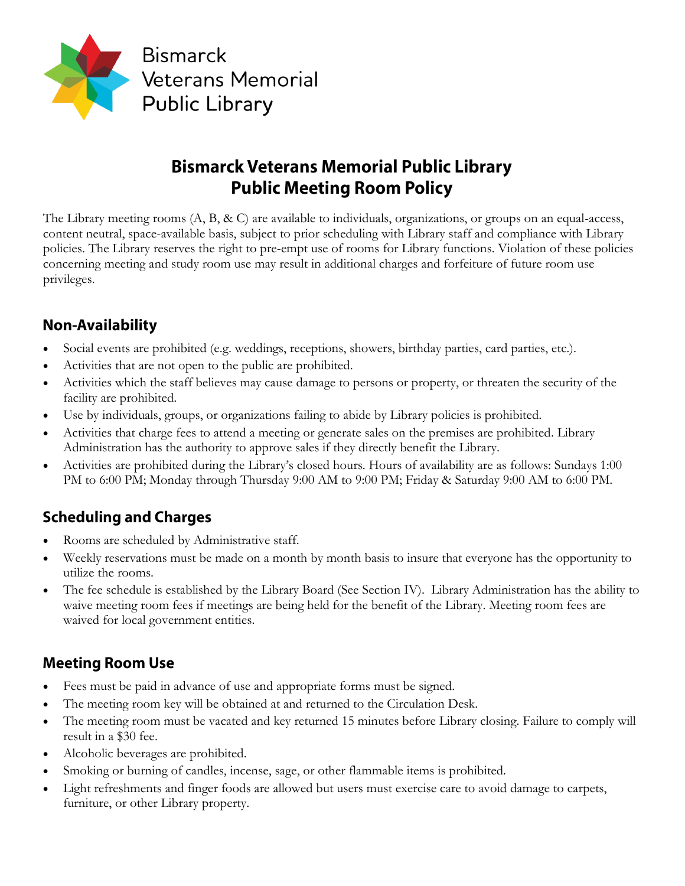

# **Bismarck Veterans Memorial Public Library Public Meeting Room Policy**

The Library meeting rooms  $(A, B, \& C)$  are available to individuals, organizations, or groups on an equal-access, content neutral, space-available basis, subject to prior scheduling with Library staff and compliance with Library policies. The Library reserves the right to pre-empt use of rooms for Library functions. Violation of these policies concerning meeting and study room use may result in additional charges and forfeiture of future room use privileges.

#### **Non-Availability**

- Social events are prohibited (e.g. weddings, receptions, showers, birthday parties, card parties, etc.).
- Activities that are not open to the public are prohibited.
- Activities which the staff believes may cause damage to persons or property, or threaten the security of the facility are prohibited.
- Use by individuals, groups, or organizations failing to abide by Library policies is prohibited.
- Activities that charge fees to attend a meeting or generate sales on the premises are prohibited. Library Administration has the authority to approve sales if they directly benefit the Library.
- Activities are prohibited during the Library's closed hours. Hours of availability are as follows: Sundays 1:00 PM to 6:00 PM; Monday through Thursday 9:00 AM to 9:00 PM; Friday & Saturday 9:00 AM to 6:00 PM.

## **Scheduling and Charges**

- Rooms are scheduled by Administrative staff.
- Weekly reservations must be made on a month by month basis to insure that everyone has the opportunity to utilize the rooms.
- The fee schedule is established by the Library Board (See Section IV). Library Administration has the ability to waive meeting room fees if meetings are being held for the benefit of the Library. Meeting room fees are waived for local government entities.

## **Meeting Room Use**

- Fees must be paid in advance of use and appropriate forms must be signed.
- The meeting room key will be obtained at and returned to the Circulation Desk.
- The meeting room must be vacated and key returned 15 minutes before Library closing. Failure to comply will result in a \$30 fee.
- Alcoholic beverages are prohibited.
- Smoking or burning of candles, incense, sage, or other flammable items is prohibited.
- Light refreshments and finger foods are allowed but users must exercise care to avoid damage to carpets, furniture, or other Library property.